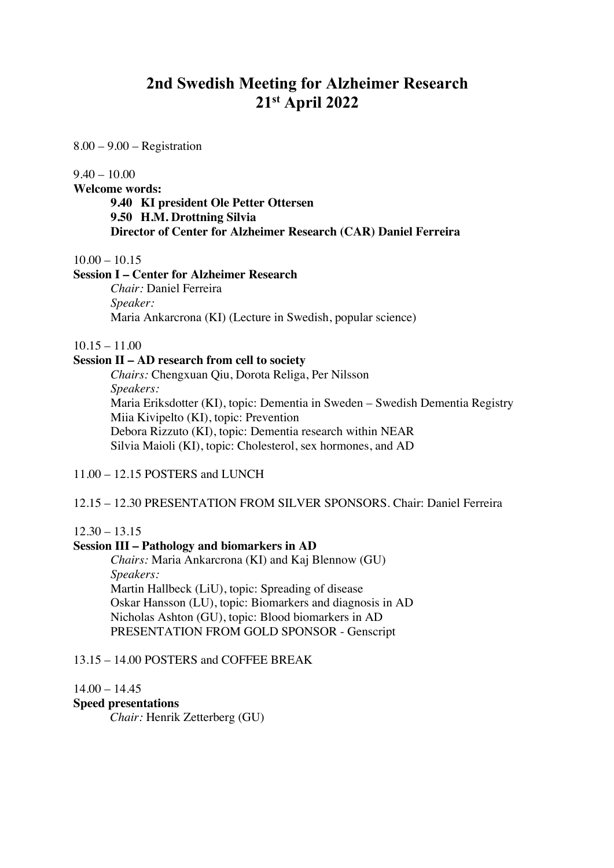# **2nd Swedish Meeting for Alzheimer Research 21st April 2022**

8.00 – 9.00 – Registration

 $9.40 - 10.00$ 

**Welcome words:** 

**9.40 KI president Ole Petter Ottersen 9.50 H.M. Drottning Silvia Director of Center for Alzheimer Research (CAR) Daniel Ferreira** 

 $10.00 - 10.15$ 

#### **Session I – Center for Alzheimer Research**

*Chair:* Daniel Ferreira *Speaker:*  Maria Ankarcrona (KI) (Lecture in Swedish, popular science)

 $10.15 - 11.00$ 

# **Session II – AD research from cell to society**

*Chairs:* Chengxuan Qiu, Dorota Religa, Per Nilsson *Speakers:* Maria Eriksdotter (KI), topic: Dementia in Sweden – Swedish Dementia Registry Miia Kivipelto (KI), topic: Prevention Debora Rizzuto (KI), topic: Dementia research within NEAR Silvia Maioli (KI), topic: Cholesterol, sex hormones, and AD

11.00 – 12.15 POSTERS and LUNCH

12.15 – 12.30 PRESENTATION FROM SILVER SPONSORS. Chair: Daniel Ferreira

#### $12.30 - 13.15$

#### **Session III – Pathology and biomarkers in AD**

*Chairs:* Maria Ankarcrona (KI) and Kaj Blennow (GU) *Speakers:* Martin Hallbeck (LiU), topic: Spreading of disease Oskar Hansson (LU), topic: Biomarkers and diagnosis in AD Nicholas Ashton (GU), topic: Blood biomarkers in AD PRESENTATION FROM GOLD SPONSOR - Genscript

## 13.15 – 14.00 POSTERS and COFFEE BREAK

 $14.00 - 14.45$ 

**Speed presentations**

*Chair:* Henrik Zetterberg (GU)